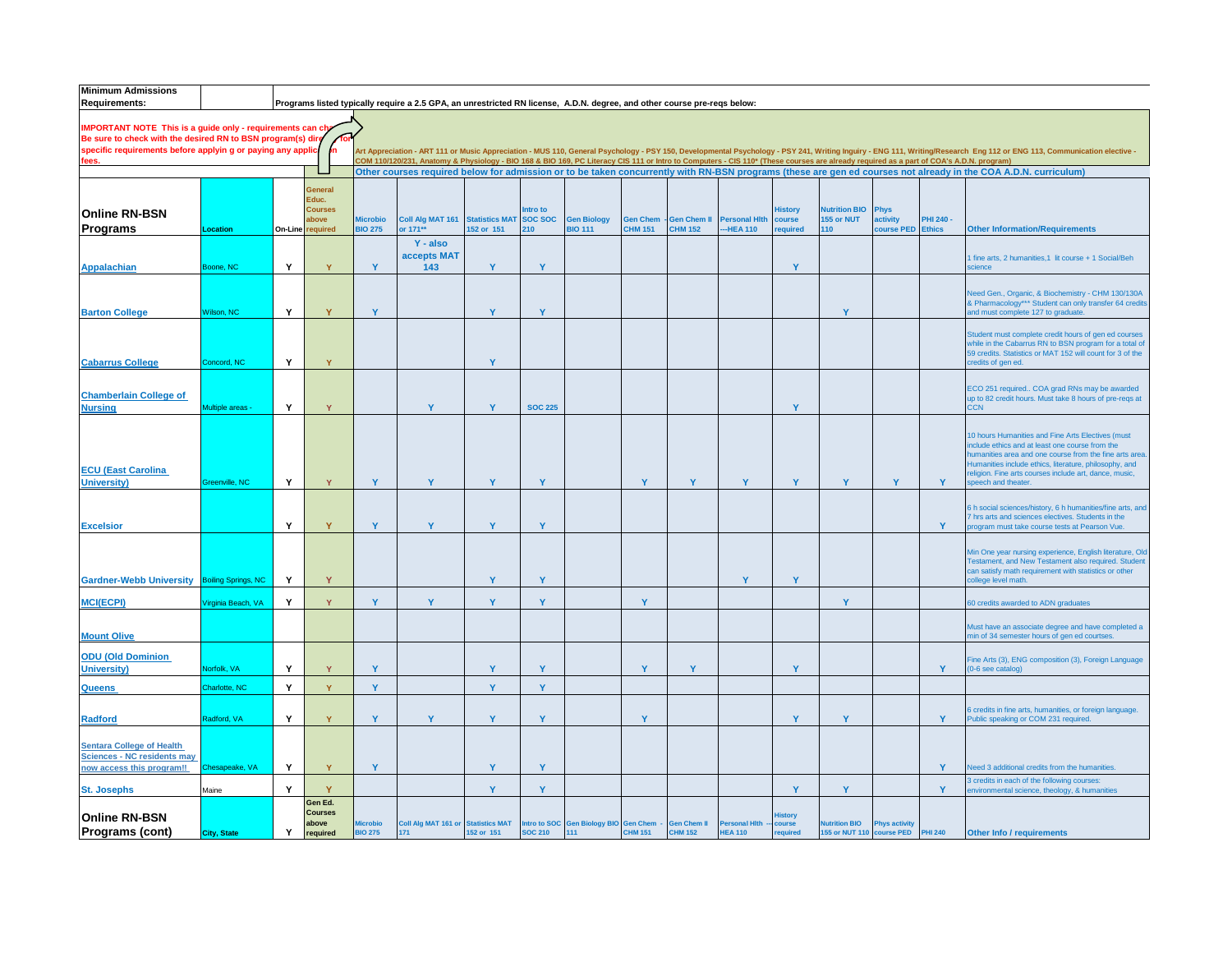| <b>Minimum Admissions</b><br><b>Requirements:</b>                                                                          |                            |         |                         |                 | Programs listed typically require a 2.5 GPA, an unrestricted RN license, A.D.N. degree, and other course pre-reqs below:                                                                                                                                                                                                                                  |            |                           |                                       |                 |                    |                      |                          |                                    |                         |                  |                                                                                                                                                                                                                        |
|----------------------------------------------------------------------------------------------------------------------------|----------------------------|---------|-------------------------|-----------------|-----------------------------------------------------------------------------------------------------------------------------------------------------------------------------------------------------------------------------------------------------------------------------------------------------------------------------------------------------------|------------|---------------------------|---------------------------------------|-----------------|--------------------|----------------------|--------------------------|------------------------------------|-------------------------|------------------|------------------------------------------------------------------------------------------------------------------------------------------------------------------------------------------------------------------------|
|                                                                                                                            |                            |         |                         |                 |                                                                                                                                                                                                                                                                                                                                                           |            |                           |                                       |                 |                    |                      |                          |                                    |                         |                  |                                                                                                                                                                                                                        |
| <b>IMPORTANT NOTE This is a guide only - requirements can cha</b>                                                          |                            |         |                         |                 |                                                                                                                                                                                                                                                                                                                                                           |            |                           |                                       |                 |                    |                      |                          |                                    |                         |                  |                                                                                                                                                                                                                        |
| Be sure to check with the desired RN to BSN program(s) dire<br>specific requirements before applyin g or paying any applic |                            |         | jn.                     |                 |                                                                                                                                                                                                                                                                                                                                                           |            |                           |                                       |                 |                    |                      |                          |                                    |                         |                  | Art Appreciation - ART 111 or Music Appreciation - MUS 110, General Psychology - PSY 150, Developmental Psychology - PSY 241, Writing Inguiry - ENG 111, Writing/Research Eng 112 or ENG 113, Communication elective - |
| fees.                                                                                                                      |                            |         |                         |                 | COM 110/120/231, Anatomy & Physiology - BIO 168 & BIO 169, PC Literacy CIS 111 or Intro to Computers - CIS 110* (These courses are already required as a part of COA's A.D.N. program)<br>Other courses required below for admission or to be taken concurrently with RN-BSN programs (these are gen ed courses not already in the COA A.D.N. curriculum) |            |                           |                                       |                 |                    |                      |                          |                                    |                         |                  |                                                                                                                                                                                                                        |
|                                                                                                                            |                            |         |                         |                 |                                                                                                                                                                                                                                                                                                                                                           |            |                           |                                       |                 |                    |                      |                          |                                    |                         |                  |                                                                                                                                                                                                                        |
|                                                                                                                            |                            |         | General<br>Educ.        |                 |                                                                                                                                                                                                                                                                                                                                                           |            |                           |                                       |                 |                    |                      |                          |                                    |                         |                  |                                                                                                                                                                                                                        |
| <b>Online RN-BSN</b>                                                                                                       |                            |         | Courses<br><b>svods</b> | <b>Microbio</b> | Coll Alg MAT 161 Statistics MAT                                                                                                                                                                                                                                                                                                                           |            | ntro to<br><b>SOC SOC</b> | <b>Gen Biology</b>                    | <b>Gen Chem</b> | <b>Gen Chem II</b> | <b>Personal Hith</b> | <b>History</b><br>course | <b>Nutrition BIO</b><br>155 or NUT | Phys<br><b>activity</b> | <b>PHI 240 -</b> |                                                                                                                                                                                                                        |
| Programs                                                                                                                   | Location                   | On-Line | required                | <b>BIO 275</b>  | or 171**                                                                                                                                                                                                                                                                                                                                                  | 152 or 151 | 210                       | <b>BIO 111</b>                        | <b>CHM 151</b>  | <b>CHM 152</b>     | -HEA 110             | equired                  | 110                                | ourse PED               | <b>Ethics</b>    | <b>Other Information/Requirements</b>                                                                                                                                                                                  |
|                                                                                                                            |                            |         |                         |                 | Y - also                                                                                                                                                                                                                                                                                                                                                  |            |                           |                                       |                 |                    |                      |                          |                                    |                         |                  |                                                                                                                                                                                                                        |
| <b>Appalachian</b>                                                                                                         | loone, NC                  | Y       | Y                       | Y               | accepts MAT<br>143                                                                                                                                                                                                                                                                                                                                        | Y          | Y                         |                                       |                 |                    |                      | Y                        |                                    |                         |                  | 1 fine arts, 2 humanities, 1 lit course + 1 Social/Beh<br>cience                                                                                                                                                       |
|                                                                                                                            |                            |         |                         |                 |                                                                                                                                                                                                                                                                                                                                                           |            |                           |                                       |                 |                    |                      |                          |                                    |                         |                  |                                                                                                                                                                                                                        |
|                                                                                                                            |                            |         |                         |                 |                                                                                                                                                                                                                                                                                                                                                           |            |                           |                                       |                 |                    |                      |                          |                                    |                         |                  | Need Gen., Organic, & Biochemistry - CHM 130/130A                                                                                                                                                                      |
| <b>Barton College</b>                                                                                                      | <b>Nilson, NC</b>          | Y       | Ÿ                       | Y               |                                                                                                                                                                                                                                                                                                                                                           | Y          | Y                         |                                       |                 |                    |                      |                          | Y                                  |                         |                  | & Pharmacology*** Student can only transfer 64 credits<br>and must complete 127 to graduate.                                                                                                                           |
|                                                                                                                            |                            |         |                         |                 |                                                                                                                                                                                                                                                                                                                                                           |            |                           |                                       |                 |                    |                      |                          |                                    |                         |                  |                                                                                                                                                                                                                        |
|                                                                                                                            |                            |         |                         |                 |                                                                                                                                                                                                                                                                                                                                                           |            |                           |                                       |                 |                    |                      |                          |                                    |                         |                  | Student must complete credit hours of gen ed courses<br>while in the Cabarrus RN to BSN program for a total of                                                                                                         |
| <b>Cabarrus College</b>                                                                                                    | Concord, NC                | Y       | Y                       |                 |                                                                                                                                                                                                                                                                                                                                                           | Y          |                           |                                       |                 |                    |                      |                          |                                    |                         |                  | 59 credits. Statistics or MAT 152 will count for 3 of the<br>credits of gen ed.                                                                                                                                        |
|                                                                                                                            |                            |         |                         |                 |                                                                                                                                                                                                                                                                                                                                                           |            |                           |                                       |                 |                    |                      |                          |                                    |                         |                  |                                                                                                                                                                                                                        |
| <b>Chamberlain College of</b>                                                                                              |                            |         |                         |                 |                                                                                                                                                                                                                                                                                                                                                           |            |                           |                                       |                 |                    |                      |                          |                                    |                         |                  | ECO 251 required COA grad RNs may be awarded<br>up to 82 credit hours. Must take 8 hours of pre-reqs at                                                                                                                |
| <b>Nursing</b>                                                                                                             | Multiple areas             | Y       | Y                       |                 | Y                                                                                                                                                                                                                                                                                                                                                         | Y          | <b>SOC 225</b>            |                                       |                 |                    |                      | Y                        |                                    |                         |                  | C <sub>N</sub>                                                                                                                                                                                                         |
|                                                                                                                            |                            |         |                         |                 |                                                                                                                                                                                                                                                                                                                                                           |            |                           |                                       |                 |                    |                      |                          |                                    |                         |                  |                                                                                                                                                                                                                        |
|                                                                                                                            |                            |         |                         |                 |                                                                                                                                                                                                                                                                                                                                                           |            |                           |                                       |                 |                    |                      |                          |                                    |                         |                  | 10 hours Humanities and Fine Arts Electives (must<br>nclude ethics and at least one course from the                                                                                                                    |
|                                                                                                                            |                            |         |                         |                 |                                                                                                                                                                                                                                                                                                                                                           |            |                           |                                       |                 |                    |                      |                          |                                    |                         |                  | numanities area and one course from the fine arts area<br>Humanities include ethics, literature, philosophy, and                                                                                                       |
| <b>ECU (East Carolina</b>                                                                                                  |                            |         |                         |                 |                                                                                                                                                                                                                                                                                                                                                           |            |                           |                                       |                 |                    |                      |                          |                                    |                         |                  | religion. Fine arts courses include art, dance, music,                                                                                                                                                                 |
| <b>University)</b>                                                                                                         | Greenville, NC             | Y       | Y                       | Y               | Y                                                                                                                                                                                                                                                                                                                                                         | Y          | Y                         |                                       | Y               | Y                  | Y                    | Y                        | Y                                  | Y                       | Y                | peech and theater                                                                                                                                                                                                      |
|                                                                                                                            |                            |         |                         |                 |                                                                                                                                                                                                                                                                                                                                                           |            |                           |                                       |                 |                    |                      |                          |                                    |                         |                  | h social sciences/history, 6 h humanities/fine arts, and                                                                                                                                                               |
| <b>Excelsior</b>                                                                                                           |                            | Y       | Y                       | Y               | Y                                                                                                                                                                                                                                                                                                                                                         | Y          | Y                         |                                       |                 |                    |                      |                          |                                    |                         | Y                | hrs arts and sciences electives. Students in the<br>rogram must take course tests at Pearson Vue.                                                                                                                      |
|                                                                                                                            |                            |         |                         |                 |                                                                                                                                                                                                                                                                                                                                                           |            |                           |                                       |                 |                    |                      |                          |                                    |                         |                  |                                                                                                                                                                                                                        |
|                                                                                                                            |                            |         |                         |                 |                                                                                                                                                                                                                                                                                                                                                           |            |                           |                                       |                 |                    |                      |                          |                                    |                         |                  | Min One year nursing experience, English literature, Old<br>Testament, and New Testament also required. Student                                                                                                        |
| <b>Gardner-Webb University</b>                                                                                             | <b>Boiling Springs, NC</b> | Y       | Ÿ                       |                 |                                                                                                                                                                                                                                                                                                                                                           | Y          | Y                         |                                       |                 |                    | Y                    | Y                        |                                    |                         |                  | can satisfy math requirement with statistics or other<br>college level math.                                                                                                                                           |
|                                                                                                                            |                            |         |                         |                 |                                                                                                                                                                                                                                                                                                                                                           |            |                           |                                       |                 |                    |                      |                          |                                    |                         |                  |                                                                                                                                                                                                                        |
| <b>MCI(ECPI)</b>                                                                                                           | irginia Beach, VA          | Y       | Y                       | Y               | Y                                                                                                                                                                                                                                                                                                                                                         | Y          | Y                         |                                       | Ÿ               |                    |                      |                          | Y                                  |                         |                  | 60 credits awarded to ADN graduates                                                                                                                                                                                    |
|                                                                                                                            |                            |         |                         |                 |                                                                                                                                                                                                                                                                                                                                                           |            |                           |                                       |                 |                    |                      |                          |                                    |                         |                  | Must have an associate degree and have completed a                                                                                                                                                                     |
| <b>Mount Olive</b>                                                                                                         |                            |         |                         |                 |                                                                                                                                                                                                                                                                                                                                                           |            |                           |                                       |                 |                    |                      |                          |                                    |                         |                  | nin of 34 semester hours of gen ed courtses.                                                                                                                                                                           |
| <b>ODU (Old Dominion</b>                                                                                                   |                            |         |                         |                 |                                                                                                                                                                                                                                                                                                                                                           |            |                           |                                       |                 |                    |                      |                          |                                    |                         |                  | Fine Arts (3), ENG composition (3), Foreign Language                                                                                                                                                                   |
| <b>University)</b>                                                                                                         | lorfolk, VA                | Y       | Y                       | Y               |                                                                                                                                                                                                                                                                                                                                                           | Y          | Y                         |                                       | Y               | Y                  |                      | Y                        |                                    |                         | Y                | 0-6 see catalog)                                                                                                                                                                                                       |
| <b>Queens</b>                                                                                                              | harlotte, NC               | Y       | Ÿ                       | Y               |                                                                                                                                                                                                                                                                                                                                                           | Y          | Y                         |                                       |                 |                    |                      |                          |                                    |                         |                  |                                                                                                                                                                                                                        |
|                                                                                                                            |                            |         |                         |                 |                                                                                                                                                                                                                                                                                                                                                           |            |                           |                                       |                 |                    |                      |                          |                                    |                         |                  | 6 credits in fine arts, humanities, or foreign language.                                                                                                                                                               |
| <b>Radford</b>                                                                                                             | Radford, VA                | Y       | Y                       | Y               | Y                                                                                                                                                                                                                                                                                                                                                         | Y          | Y                         |                                       | Y               |                    |                      | Y                        | Y                                  |                         | Y                | ublic speaking or COM 231 required.                                                                                                                                                                                    |
| <b>Sentara College of Health</b>                                                                                           |                            |         |                         |                 |                                                                                                                                                                                                                                                                                                                                                           |            |                           |                                       |                 |                    |                      |                          |                                    |                         |                  |                                                                                                                                                                                                                        |
| <b>Sciences - NC residents may</b>                                                                                         |                            |         |                         |                 |                                                                                                                                                                                                                                                                                                                                                           |            |                           |                                       |                 |                    |                      |                          |                                    |                         |                  |                                                                                                                                                                                                                        |
| now access this program!!                                                                                                  | Chesapeake, VA             | Y       | Y                       | Y               |                                                                                                                                                                                                                                                                                                                                                           | Y          | Y                         |                                       |                 |                    |                      |                          |                                    |                         | $\mathbf{Y}$     | leed 3 additional credits from the humanities.                                                                                                                                                                         |
| <b>St. Josephs</b>                                                                                                         | Maine                      | Y       | Y                       |                 |                                                                                                                                                                                                                                                                                                                                                           | Y          | Y                         |                                       |                 |                    |                      | Y                        | Y                                  |                         | Y                | credits in each of the following courses:<br>nvironmental science, theology, & humanities                                                                                                                              |
|                                                                                                                            |                            |         | Gen Ed.                 |                 |                                                                                                                                                                                                                                                                                                                                                           |            |                           |                                       |                 |                    |                      |                          |                                    |                         |                  |                                                                                                                                                                                                                        |
| <b>Online RN-BSN</b>                                                                                                       |                            |         | <b>Courses</b><br>above | <b>Microbio</b> | Coll Alg MAT 161 or Statistics MAT                                                                                                                                                                                                                                                                                                                        |            |                           | Intro to SOC Gen Biology BIO Gen Chem |                 | <b>Gen Chem II</b> | Personal Hith        | ourse:                   | <b>Nutrition BIO</b>               | <b>Phys activity</b>    |                  |                                                                                                                                                                                                                        |
| Programs (cont)                                                                                                            | City, State                | Y       | required                | <b>BIO 275</b>  | 171                                                                                                                                                                                                                                                                                                                                                       | 152 or 151 | <b>SOC 210</b>            | 111                                   | <b>CHM 151</b>  | <b>CHM 152</b>     | <b>HEA 110</b>       | equired                  | 155 or NUT 110 course PED          |                         | <b>PHI 240</b>   | Other Info / requirements                                                                                                                                                                                              |